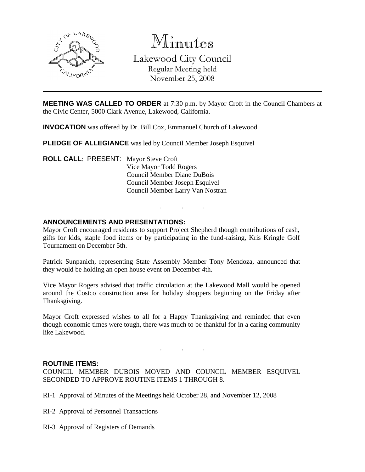

Minutes Lakewood City Council Regular Meeting held November 25, 2008

**MEETING WAS CALLED TO ORDER** at 7:30 p.m. by Mayor Croft in the Council Chambers at the Civic Center, 5000 Clark Avenue, Lakewood, California.

**INVOCATION** was offered by Dr. Bill Cox, Emmanuel Church of Lakewood

**PLEDGE OF ALLEGIANCE** was led by Council Member Joseph Esquivel

**ROLL CALL**: PRESENT: Mayor Steve Croft Vice Mayor Todd Rogers Council Member Diane DuBois Council Member Joseph Esquivel Council Member Larry Van Nostran

#### **ANNOUNCEMENTS AND PRESENTATIONS:**

Mayor Croft encouraged residents to support Project Shepherd though contributions of cash, gifts for kids, staple food items or by participating in the fund-raising, Kris Kringle Golf Tournament on December 5th.

. . .

Patrick Sunpanich, representing State Assembly Member Tony Mendoza, announced that they would be holding an open house event on December 4th.

Vice Mayor Rogers advised that traffic circulation at the Lakewood Mall would be opened around the Costco construction area for holiday shoppers beginning on the Friday after Thanksgiving.

Mayor Croft expressed wishes to all for a Happy Thanksgiving and reminded that even though economic times were tough, there was much to be thankful for in a caring community like Lakewood.

. . .

#### **ROUTINE ITEMS:**

COUNCIL MEMBER DUBOIS MOVED AND COUNCIL MEMBER ESQUIVEL SECONDED TO APPROVE ROUTINE ITEMS 1 THROUGH 8.

RI-1 Approval of Minutes of the Meetings held October 28, and November 12, 2008

RI-2 Approval of Personnel Transactions

RI-3 Approval of Registers of Demands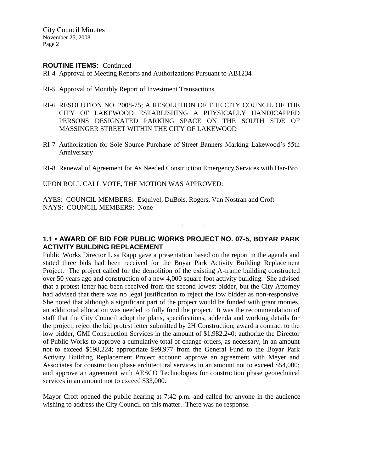City Council Minutes November 25, 2008 Page 2

#### **ROUTINE ITEMS:** Continued

RI-4 Approval of Meeting Reports and Authorizations Pursuant to AB1234

- RI-5 Approval of Monthly Report of Investment Transactions
- RI-6 RESOLUTION NO. 2008-75; A RESOLUTION OF THE CITY COUNCIL OF THE CITY OF LAKEWOOD ESTABLISHING A PHYSICALLY HANDICAPPED PERSONS DESIGNATED PARKING SPACE ON THE SOUTH SIDE OF MASSINGER STREET WITHIN THE CITY OF LAKEWOOD
- RI-7 Authorization for Sole Source Purchase of Street Banners Marking Lakewood's 55th Anniversary
- RI-8 Renewal of Agreement for As Needed Construction Emergency Services with Har-Bro

UPON ROLL CALL VOTE, THE MOTION WAS APPROVED:

AYES: COUNCIL MEMBERS: Esquivel, DuBois, Rogers, Van Nostran and Croft NAYS: COUNCIL MEMBERS: None

## **1.1 • AWARD OF BID FOR PUBLIC WORKS PROJECT NO. 07-5, BOYAR PARK ACTIVITY BUILDING REPLACEMENT**

. . .

Public Works Director Lisa Rapp gave a presentation based on the report in the agenda and stated three bids had been received for the Boyar Park Activity Building Replacement Project. The project called for the demolition of the existing A-frame building constructed over 50 years ago and construction of a new 4,000 square foot activity building. She advised that a protest letter had been received from the second lowest bidder, but the City Attorney had advised that there was no legal justification to reject the low bidder as non-responsive. She noted that although a significant part of the project would be funded with grant monies, an additional allocation was needed to fully fund the project. It was the recommendation of staff that the City Council adopt the plans, specifications, addenda and working details for the project; reject the bid protest letter submitted by 2H Construction; award a contract to the low bidder, GMI Construction Services in the amount of \$1,982,240; authorize the Director of Public Works to approve a cumulative total of change orders, as necessary, in an amount not to exceed \$198,224; appropriate \$99,977 from the General Fund to the Boyar Park Activity Building Replacement Project account; approve an agreement with Meyer and Associates for construction phase architectural services in an amount not to exceed \$54,000; and approve an agreement with AESCO Technologies for construction phase geotechnical services in an amount not to exceed \$33,000.

Mayor Croft opened the public hearing at 7:42 p.m. and called for anyone in the audience wishing to address the City Council on this matter. There was no response.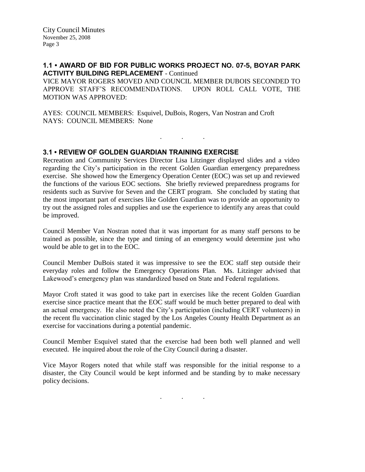# **1.1 • AWARD OF BID FOR PUBLIC WORKS PROJECT NO. 07-5, BOYAR PARK ACTIVITY BUILDING REPLACEMENT** - Continued

VICE MAYOR ROGERS MOVED AND COUNCIL MEMBER DUBOIS SECONDED TO APPROVE STAFF'S RECOMMENDATIONS. UPON ROLL CALL VOTE, THE MOTION WAS APPROVED:

. . .

AYES: COUNCIL MEMBERS: Esquivel, DuBois, Rogers, Van Nostran and Croft NAYS: COUNCIL MEMBERS: None

# **3.1 • REVIEW OF GOLDEN GUARDIAN TRAINING EXERCISE**

Recreation and Community Services Director Lisa Litzinger displayed slides and a video regarding the City's participation in the recent Golden Guardian emergency preparedness exercise. She showed how the Emergency Operation Center (EOC) was set up and reviewed the functions of the various EOC sections. She briefly reviewed preparedness programs for residents such as Survive for Seven and the CERT program. She concluded by stating that the most important part of exercises like Golden Guardian was to provide an opportunity to try out the assigned roles and supplies and use the experience to identify any areas that could be improved.

Council Member Van Nostran noted that it was important for as many staff persons to be trained as possible, since the type and timing of an emergency would determine just who would be able to get in to the EOC.

Council Member DuBois stated it was impressive to see the EOC staff step outside their everyday roles and follow the Emergency Operations Plan. Ms. Litzinger advised that Lakewood's emergency plan was standardized based on State and Federal regulations.

Mayor Croft stated it was good to take part in exercises like the recent Golden Guardian exercise since practice meant that the EOC staff would be much better prepared to deal with an actual emergency. He also noted the City's participation (including CERT volunteers) in the recent flu vaccination clinic staged by the Los Angeles County Health Department as an exercise for vaccinations during a potential pandemic.

Council Member Esquivel stated that the exercise had been both well planned and well executed. He inquired about the role of the City Council during a disaster.

Vice Mayor Rogers noted that while staff was responsible for the initial response to a disaster, the City Council would be kept informed and be standing by to make necessary policy decisions.

. . .